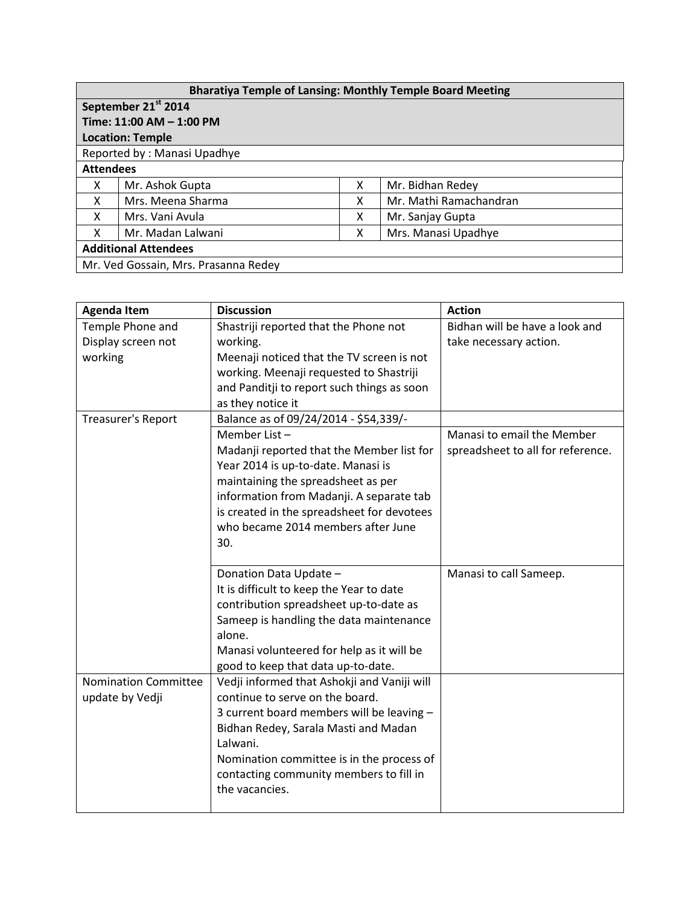| <b>Bharatiya Temple of Lansing: Monthly Temple Board Meeting</b> |                   |   |                        |  |  |  |
|------------------------------------------------------------------|-------------------|---|------------------------|--|--|--|
| September 21 <sup>st</sup> 2014                                  |                   |   |                        |  |  |  |
| Time: 11:00 AM - 1:00 PM                                         |                   |   |                        |  |  |  |
| <b>Location: Temple</b>                                          |                   |   |                        |  |  |  |
| Reported by: Manasi Upadhye                                      |                   |   |                        |  |  |  |
| <b>Attendees</b>                                                 |                   |   |                        |  |  |  |
| X                                                                | Mr. Ashok Gupta   | x | Mr. Bidhan Redey       |  |  |  |
| X                                                                | Mrs. Meena Sharma | X | Mr. Mathi Ramachandran |  |  |  |
| X                                                                | Mrs. Vani Avula   | X | Mr. Sanjay Gupta       |  |  |  |
| x                                                                | Mr. Madan Lalwani | x | Mrs. Manasi Upadhye    |  |  |  |
| <b>Additional Attendees</b>                                      |                   |   |                        |  |  |  |
| Mr. Ved Gossain, Mrs. Prasanna Redey                             |                   |   |                        |  |  |  |

| <b>Agenda Item</b>          | <b>Discussion</b>                           | <b>Action</b>                     |
|-----------------------------|---------------------------------------------|-----------------------------------|
| Temple Phone and            | Shastriji reported that the Phone not       | Bidhan will be have a look and    |
| Display screen not          | working.                                    | take necessary action.            |
| working                     | Meenaji noticed that the TV screen is not   |                                   |
|                             | working. Meenaji requested to Shastriji     |                                   |
|                             | and Panditji to report such things as soon  |                                   |
|                             | as they notice it                           |                                   |
| <b>Treasurer's Report</b>   | Balance as of 09/24/2014 - \$54,339/-       |                                   |
|                             | Member List-                                | Manasi to email the Member        |
|                             | Madanji reported that the Member list for   | spreadsheet to all for reference. |
|                             | Year 2014 is up-to-date. Manasi is          |                                   |
|                             | maintaining the spreadsheet as per          |                                   |
|                             | information from Madanji. A separate tab    |                                   |
|                             | is created in the spreadsheet for devotees  |                                   |
|                             | who became 2014 members after June          |                                   |
|                             | 30.                                         |                                   |
|                             |                                             |                                   |
|                             | Donation Data Update -                      | Manasi to call Sameep.            |
|                             | It is difficult to keep the Year to date    |                                   |
|                             | contribution spreadsheet up-to-date as      |                                   |
|                             | Sameep is handling the data maintenance     |                                   |
|                             | alone.                                      |                                   |
|                             | Manasi volunteered for help as it will be   |                                   |
|                             | good to keep that data up-to-date.          |                                   |
| <b>Nomination Committee</b> | Vedji informed that Ashokji and Vaniji will |                                   |
| update by Vedji             | continue to serve on the board.             |                                   |
|                             | 3 current board members will be leaving -   |                                   |
|                             | Bidhan Redey, Sarala Masti and Madan        |                                   |
|                             | Lalwani.                                    |                                   |
|                             | Nomination committee is in the process of   |                                   |
|                             | contacting community members to fill in     |                                   |
|                             | the vacancies.                              |                                   |
|                             |                                             |                                   |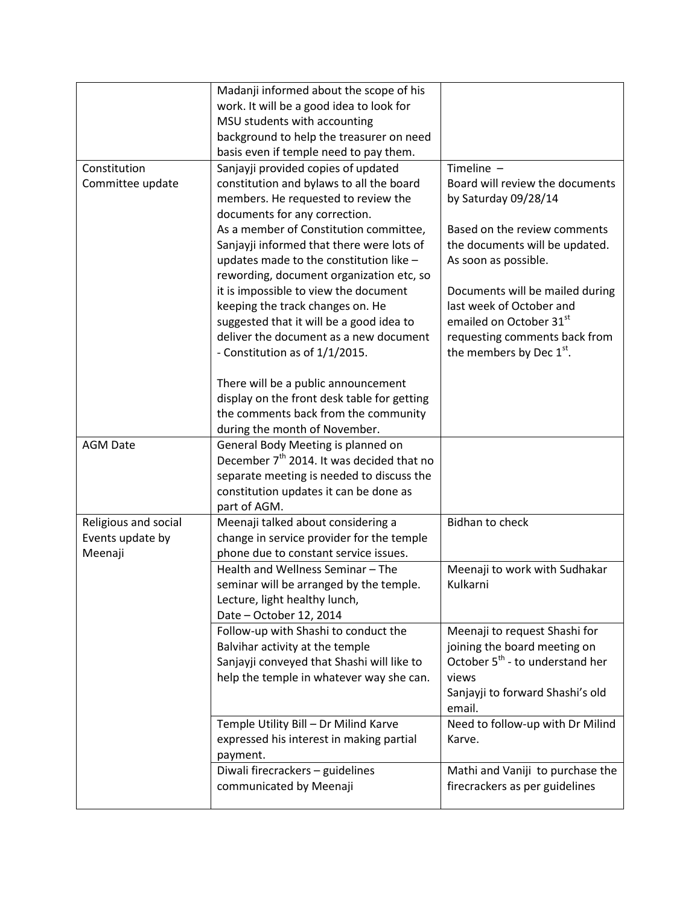|                      | Madanji informed about the scope of his               |                                             |
|----------------------|-------------------------------------------------------|---------------------------------------------|
|                      | work. It will be a good idea to look for              |                                             |
|                      | MSU students with accounting                          |                                             |
|                      | background to help the treasurer on need              |                                             |
|                      | basis even if temple need to pay them.                |                                             |
| Constitution         | Sanjayji provided copies of updated                   | Timeline $-$                                |
| Committee update     | constitution and bylaws to all the board              | Board will review the documents             |
|                      | members. He requested to review the                   | by Saturday 09/28/14                        |
|                      | documents for any correction.                         |                                             |
|                      | As a member of Constitution committee,                | Based on the review comments                |
|                      | Sanjayji informed that there were lots of             | the documents will be updated.              |
|                      | updates made to the constitution like -               | As soon as possible.                        |
|                      | rewording, document organization etc, so              |                                             |
|                      | it is impossible to view the document                 | Documents will be mailed during             |
|                      | keeping the track changes on. He                      | last week of October and                    |
|                      | suggested that it will be a good idea to              | emailed on October 31st                     |
|                      | deliver the document as a new document                | requesting comments back from               |
|                      | - Constitution as of 1/1/2015.                        | the members by Dec 1st.                     |
|                      |                                                       |                                             |
|                      | There will be a public announcement                   |                                             |
|                      | display on the front desk table for getting           |                                             |
|                      | the comments back from the community                  |                                             |
|                      | during the month of November.                         |                                             |
| <b>AGM Date</b>      | General Body Meeting is planned on                    |                                             |
|                      | December 7 <sup>th</sup> 2014. It was decided that no |                                             |
|                      | separate meeting is needed to discuss the             |                                             |
|                      | constitution updates it can be done as                |                                             |
|                      | part of AGM.                                          |                                             |
| Religious and social | Meenaji talked about considering a                    | <b>Bidhan to check</b>                      |
| Events update by     | change in service provider for the temple             |                                             |
| Meenaji              | phone due to constant service issues.                 |                                             |
|                      | Health and Wellness Seminar - The                     | Meenaji to work with Sudhakar               |
|                      | seminar will be arranged by the temple.               | Kulkarni                                    |
|                      | Lecture, light healthy lunch,                         |                                             |
|                      | Date - October 12, 2014                               |                                             |
|                      | Follow-up with Shashi to conduct the                  | Meenaji to request Shashi for               |
|                      | Balvihar activity at the temple                       | joining the board meeting on                |
|                      | Sanjayji conveyed that Shashi will like to            | October 5 <sup>th</sup> - to understand her |
|                      | help the temple in whatever way she can.              | views                                       |
|                      |                                                       | Sanjayji to forward Shashi's old<br>email.  |
|                      | Temple Utility Bill - Dr Milind Karve                 | Need to follow-up with Dr Milind            |
|                      | expressed his interest in making partial              | Karve.                                      |
|                      | payment.                                              |                                             |
|                      | Diwali firecrackers - guidelines                      | Mathi and Vaniji to purchase the            |
|                      | communicated by Meenaji                               | firecrackers as per guidelines              |
|                      |                                                       |                                             |